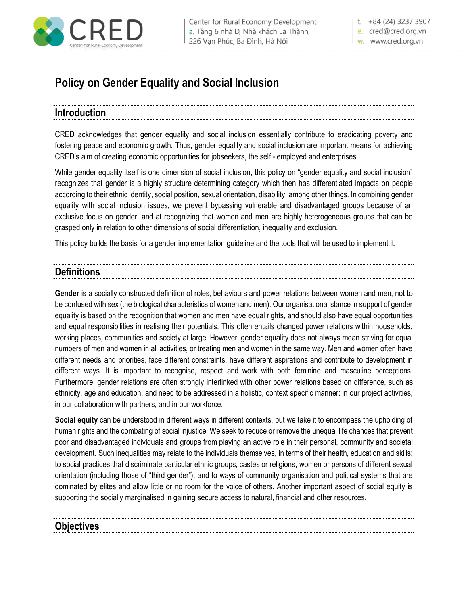

| Center for Rural Economy Development a. Tầng 6 nhà D, Nhà khách La Thành, 226 Vạn Phúc, Ba Đình, Hà Nội

t.  $+84(24)$  3237 3907

e. cred@cred.org.vn w. www.cred.org.vn

# **Policy on Gender Equality and Social Inclusion**

### **Introduction**

CRED acknowledges that gender equality and social inclusion essentially contribute to eradicating poverty and fostering peace and economic growth. Thus, gender equality and social inclusion are important means for achieving CRED's aim of creating economic opportunities for jobseekers, the self - employed and enterprises.

While gender equality itself is one dimension of social inclusion, this policy on "gender equality and social inclusion" recognizes that gender is a highly structure determining category which then has differentiated impacts on people according to their ethnic identity, social position, sexual orientation, disability, among other things. In combining gender equality with social inclusion issues, we prevent bypassing vulnerable and disadvantaged groups because of an exclusive focus on gender, and at recognizing that women and men are highly heterogeneous groups that can be grasped only in relation to other dimensions of social differentiation, inequality and exclusion.

This policy builds the basis for a gender implementation guideline and the tools that will be used to implement it.

### **Definitions**

**Gender** is a socially constructed definition of roles, behaviours and power relations between women and men, not to be confused with sex (the biological characteristics of women and men). Our organisational stance in support of gender equality is based on the recognition that women and men have equal rights, and should also have equal opportunities and equal responsibilities in realising their potentials. This often entails changed power relations within households, working places, communities and society at large. However, gender equality does not always mean striving for equal numbers of men and women in all activities, or treating men and women in the same way. Men and women often have different needs and priorities, face different constraints, have different aspirations and contribute to development in different ways. It is important to recognise, respect and work with both feminine and masculine perceptions. Furthermore, gender relations are often strongly interlinked with other power relations based on difference, such as ethnicity, age and education, and need to be addressed in a holistic, context specific manner: in our project activities, in our collaboration with partners, and in our workforce.

**Social equity** can be understood in different ways in different contexts, but we take it to encompass the upholding of human rights and the combating of social injustice. We seek to reduce or remove the unequal life chances that prevent poor and disadvantaged individuals and groups from playing an active role in their personal, community and societal development. Such inequalities may relate to the individuals themselves, in terms of their health, education and skills; to social practices that discriminate particular ethnic groups, castes or religions, women or persons of different sexual orientation (including those of "third gender"); and to ways of community organisation and political systems that are dominated by elites and allow little or no room for the voice of others. Another important aspect of social equity is supporting the socially marginalised in gaining secure access to natural, financial and other resources.

### **Objectives**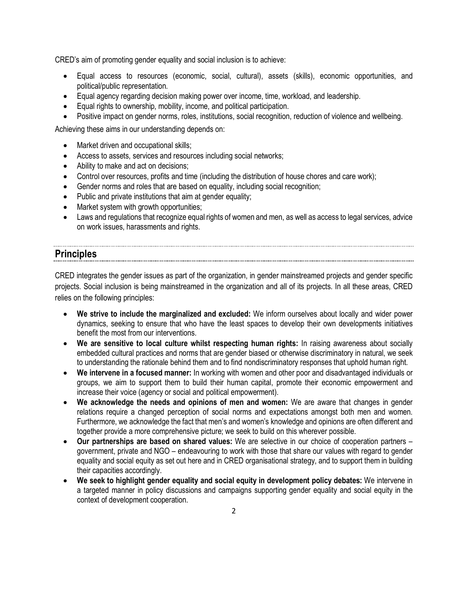CRED's aim of promoting gender equality and social inclusion is to achieve:

- Equal access to resources (economic, social, cultural), assets (skills), economic opportunities, and political/public representation.
- Equal agency regarding decision making power over income, time, workload, and leadership.
- Equal rights to ownership, mobility, income, and political participation.
- Positive impact on gender norms, roles, institutions, social recognition, reduction of violence and wellbeing.

Achieving these aims in our understanding depends on:

- Market driven and occupational skills;
- Access to assets, services and resources including social networks;
- Ability to make and act on decisions;
- Control over resources, profits and time (including the distribution of house chores and care work);
- Gender norms and roles that are based on equality, including social recognition;
- Public and private institutions that aim at gender equality;
- Market system with growth opportunities;
- Laws and regulations that recognize equal rights of women and men, as well as access to legal services, advice on work issues, harassments and rights.

## **Principles**

CRED integrates the gender issues as part of the organization, in gender mainstreamed projects and gender specific projects. Social inclusion is being mainstreamed in the organization and all of its projects. In all these areas, CRED relies on the following principles:

- **We strive to include the marginalized and excluded:** We inform ourselves about locally and wider power dynamics, seeking to ensure that who have the least spaces to develop their own developments initiatives benefit the most from our interventions.
- **We are sensitive to local culture whilst respecting human rights:** In raising awareness about socially embedded cultural practices and norms that are gender biased or otherwise discriminatory in natural, we seek to understanding the rationale behind them and to find nondiscriminatory responses that uphold human right.
- **We intervene in a focused manner:** In working with women and other poor and disadvantaged individuals or groups, we aim to support them to build their human capital, promote their economic empowerment and increase their voice (agency or social and political empowerment).
- **We acknowledge the needs and opinions of men and women:** We are aware that changes in gender relations require a changed perception of social norms and expectations amongst both men and women. Furthermore, we acknowledge the fact that men's and women's knowledge and opinions are often different and together provide a more comprehensive picture; we seek to build on this wherever possible.
- **Our partnerships are based on shared values:** We are selective in our choice of cooperation partners government, private and NGO – endeavouring to work with those that share our values with regard to gender equality and social equity as set out here and in CRED organisational strategy, and to support them in building their capacities accordingly.
- **We seek to highlight gender equality and social equity in development policy debates:** We intervene in a targeted manner in policy discussions and campaigns supporting gender equality and social equity in the context of development cooperation.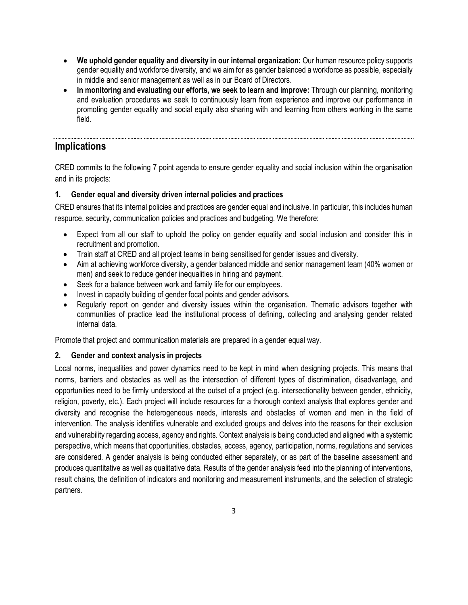- **We uphold gender equality and diversity in our internal organization:** Our human resource policy supports gender equality and workforce diversity, and we aim for as gender balanced a workforce as possible, especially in middle and senior management as well as in our Board of Directors.
- **In monitoring and evaluating our efforts, we seek to learn and improve:** Through our planning, monitoring and evaluation procedures we seek to continuously learn from experience and improve our performance in promoting gender equality and social equity also sharing with and learning from others working in the same field.

### **Implications**

CRED commits to the following 7 point agenda to ensure gender equality and social inclusion within the organisation and in its projects:

#### **1. Gender equal and diversity driven internal policies and practices**

CRED ensures that its internal policies and practices are gender equal and inclusive. In particular, this includes human respurce, security, communication policies and practices and budgeting. We therefore:

- Expect from all our staff to uphold the policy on gender equality and social inclusion and consider this in recruitment and promotion.
- Train staff at CRED and all project teams in being sensitised for gender issues and diversity.
- Aim at achieving workforce diversity, a gender balanced middle and senior management team (40% women or men) and seek to reduce gender inequalities in hiring and payment.
- Seek for a balance between work and family life for our employees.
- Invest in capacity building of gender focal points and gender advisors.
- Regularly report on gender and diversity issues within the organisation. Thematic advisors together with communities of practice lead the institutional process of defining, collecting and analysing gender related internal data.

Promote that project and communication materials are prepared in a gender equal way.

#### **2. Gender and context analysis in projects**

Local norms, inequalities and power dynamics need to be kept in mind when designing projects. This means that norms, barriers and obstacles as well as the intersection of different types of discrimination, disadvantage, and opportunities need to be firmly understood at the outset of a project (e.g. intersectionality between gender, ethnicity, religion, poverty, etc.). Each project will include resources for a thorough context analysis that explores gender and diversity and recognise the heterogeneous needs, interests and obstacles of women and men in the field of intervention. The analysis identifies vulnerable and excluded groups and delves into the reasons for their exclusion and vulnerability regarding access, agency and rights. Context analysis is being conducted and aligned with a systemic perspective, which means that opportunities, obstacles, access, agency, participation, norms, regulations and services are considered. A gender analysis is being conducted either separately, or as part of the baseline assessment and produces quantitative as well as qualitative data. Results of the gender analysis feed into the planning of interventions, result chains, the definition of indicators and monitoring and measurement instruments, and the selection of strategic partners.